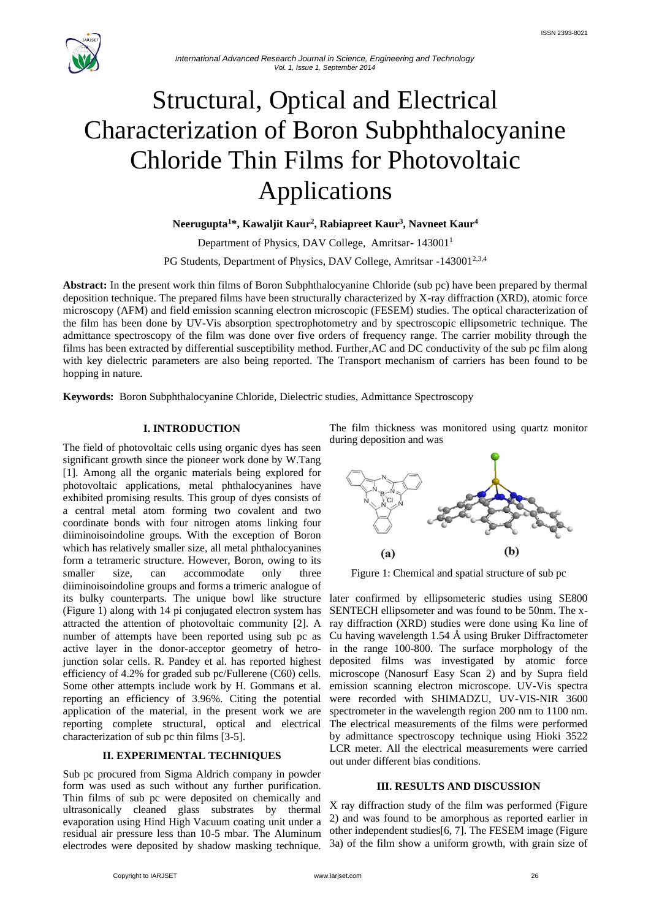

# Structural, Optical and Electrical Characterization of Boron Subphthalocyanine Chloride Thin Films for Photovoltaic Applications

**Neerugupta<sup>1</sup>\*, Kawaljit Kaur<sup>2</sup> , Rabiapreet Kaur<sup>3</sup> , Navneet Kaur<sup>4</sup>**

Department of Physics, DAV College, Amritsar- 143001<sup>1</sup>

PG Students, Department of Physics, DAV College, Amritsar -143001<sup>2,3,4</sup>

**Abstract:** In the present work thin films of Boron Subphthalocyanine Chloride (sub pc) have been prepared by thermal deposition technique. The prepared films have been structurally characterized by X-ray diffraction (XRD), atomic force microscopy (AFM) and field emission scanning electron microscopic (FESEM) studies. The optical characterization of the film has been done by UV-Vis absorption spectrophotometry and by spectroscopic ellipsometric technique. The admittance spectroscopy of the film was done over five orders of frequency range. The carrier mobility through the films has been extracted by differential susceptibility method. Further,AC and DC conductivity of the sub pc film along with key dielectric parameters are also being reported. The Transport mechanism of carriers has been found to be hopping in nature.

**Keywords:** Boron Subphthalocyanine Chloride, Dielectric studies, Admittance Spectroscopy

# **I. INTRODUCTION**

The field of photovoltaic cells using organic dyes has seen significant growth since the pioneer work done by W.Tang [1]. Among all the organic materials being explored for photovoltaic applications, metal phthalocyanines have exhibited promising results. This group of dyes consists of a central metal atom forming two covalent and two coordinate bonds with four nitrogen atoms linking four diiminoisoindoline groups. With the exception of Boron which has relatively smaller size, all metal phthalocyanines form a tetrameric structure. However, Boron, owing to its smaller size, can accommodate only three diiminoisoindoline groups and forms a trimeric analogue of its bulky counterparts. The unique bowl like structure (Figure 1) along with 14 pi conjugated electron system has attracted the attention of photovoltaic community [2]. A number of attempts have been reported using sub pc as active layer in the donor-acceptor geometry of hetrojunction solar cells. R. Pandey et al. has reported highest efficiency of 4.2% for graded sub pc/Fullerene (C60) cells. Some other attempts include work by H. Gommans et al. reporting an efficiency of 3.96%. Citing the potential application of the material, in the present work we are reporting complete structural, optical and electrical characterization of sub pc thin films [3-5].

### **II. EXPERIMENTAL TECHNIQUES**

Sub pc procured from Sigma Aldrich company in powder form was used as such without any further purification. Thin films of sub pc were deposited on chemically and ultrasonically cleaned glass substrates by thermal evaporation using Hind High Vacuum coating unit under a residual air pressure less than 10-5 mbar. The Aluminum electrodes were deposited by shadow masking technique.

The film thickness was monitored using quartz monitor during deposition and was



Figure 1: Chemical and spatial structure of sub pc

later confirmed by ellipsometeric studies using SE800 SENTECH ellipsometer and was found to be 50nm. The xray diffraction (XRD) studies were done using Kα line of Cu having wavelength 1.54 Å using Bruker Diffractometer in the range 100-800. The surface morphology of the deposited films was investigated by atomic force microscope (Nanosurf Easy Scan 2) and by Supra field emission scanning electron microscope. UV-Vis spectra were recorded with SHIMADZU, UV-VIS-NIR 3600 spectrometer in the wavelength region 200 nm to 1100 nm. The electrical measurements of the films were performed by admittance spectroscopy technique using Hioki 3522 LCR meter. All the electrical measurements were carried out under different bias conditions.

# **III. RESULTS AND DISCUSSION**

X ray diffraction study of the film was performed (Figure 2) and was found to be amorphous as reported earlier in other independent studies[6, 7]. The FESEM image (Figure 3a) of the film show a uniform growth, with grain size of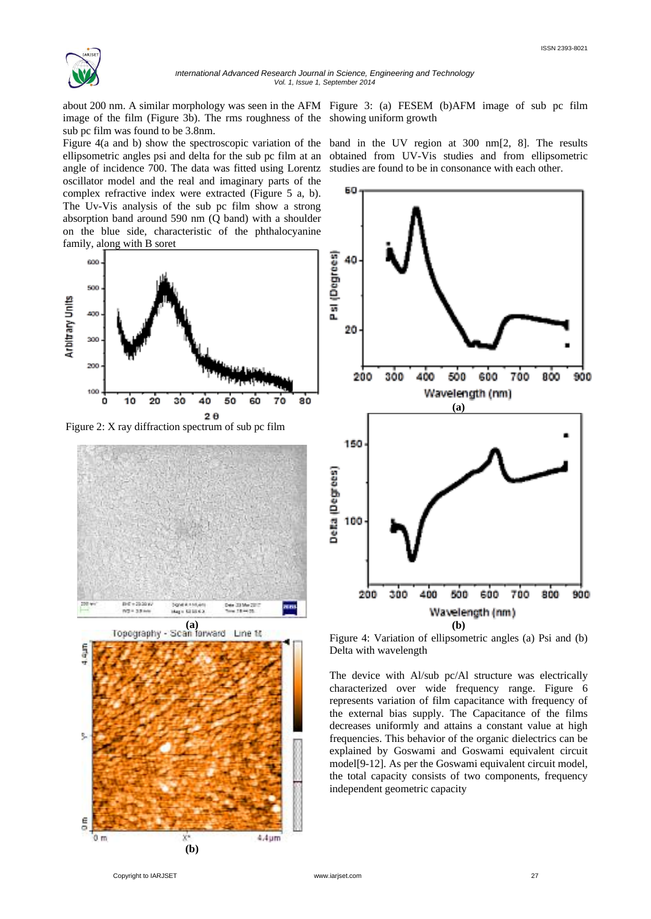

*International Advanced Research Journal in Science, Engineering and Technology Vol. 1, Issue 1, September 2014*

about 200 nm. A similar morphology was seen in the AFM Figure 3: (a) FESEM (b)AFM image of sub pc film image of the film (Figure 3b). The rms roughness of the showing uniform growth sub pc film was found to be 3.8nm.

Figure 4(a and b) show the spectroscopic variation of the ellipsometric angles psi and delta for the sub pc film at an angle of incidence 700. The data was fitted using Lorentz oscillator model and the real and imaginary parts of the complex refractive index were extracted (Figure 5 a, b). The Uv-Vis analysis of the sub pc film show a strong absorption band around 590 nm (Q band) with a shoulder on the blue side, characteristic of the phthalocyanine family, along with B soret



Figure 2: X ray diffraction spectrum of sub pc film



band in the UV region at 300 nm[2, 8]. The results obtained from UV-Vis studies and from ellipsometric studies are found to be in consonance with each other.



Figure 4: Variation of ellipsometric angles (a) Psi and (b) Delta with wavelength

The device with Al/sub pc/Al structure was electrically characterized over wide frequency range. Figure 6 represents variation of film capacitance with frequency of the external bias supply. The Capacitance of the films decreases uniformly and attains a constant value at high frequencies. This behavior of the organic dielectrics can be explained by Goswami and Goswami equivalent circuit model[9-12]. As per the Goswami equivalent circuit model, the total capacity consists of two components, frequency independent geometric capacity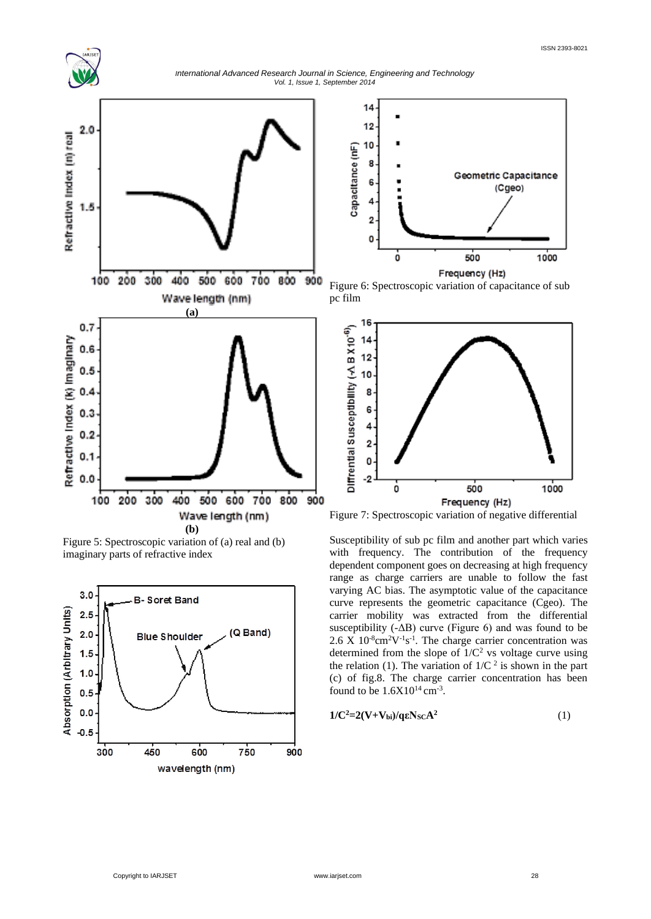

*International Advanced Research Journal in Science, Engineering and Technology Vol. 1, Issue 1, September 2014*



Figure 5: Spectroscopic variation of (a) real and (b) imaginary parts of refractive index





Figure 6: Spectroscopic variation of capacitance of sub pc film



Figure 7: Spectroscopic variation of negative differential

Susceptibility of sub pc film and another part which varies with frequency. The contribution of the frequency dependent component goes on decreasing at high frequency range as charge carriers are unable to follow the fast varying AC bias. The asymptotic value of the capacitance curve represents the geometric capacitance (Cgeo). The carrier mobility was extracted from the differential susceptibility  $(-\Delta B)$  curve (Figure 6) and was found to be  $2.6$  X  $10^{-8}$ cm<sup>2</sup>V<sup>-1</sup>s<sup>-1</sup>. The charge carrier concentration was determined from the slope of  $1/C^2$  vs voltage curve using the relation (1). The variation of  $1/C<sup>2</sup>$  is shown in the part (c) of fig.8. The charge carrier concentration has been found to be  $1.6X10^{14}$  cm<sup>-3</sup>.

$$
1/C^2=2(V+V_{bi})/q\epsilon N_{SC}A^2
$$
 (1)